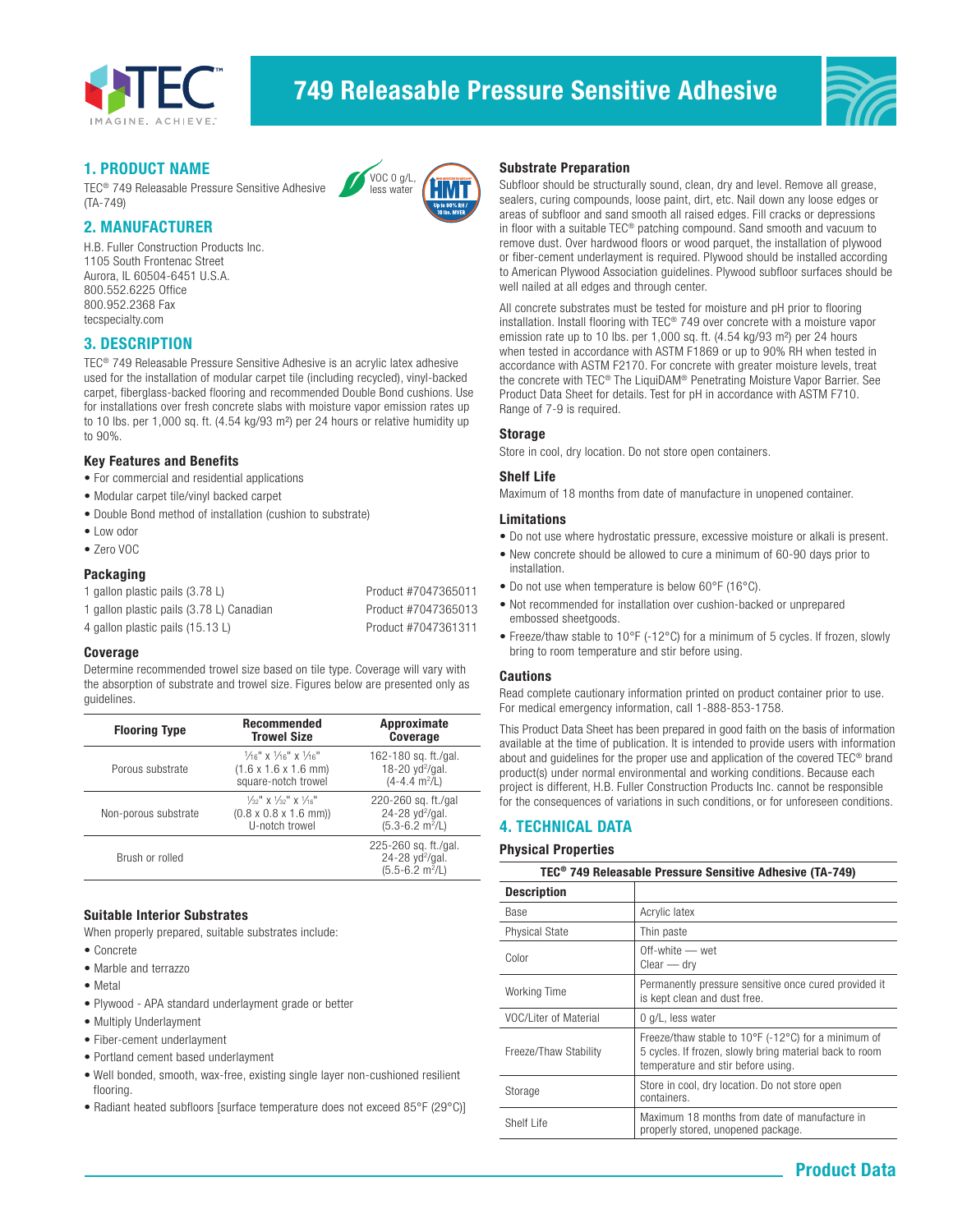

# 749 Releasable Pressure Sensitive Adhesive



# 1. PRODUCT NAME

TEC® 749 Releasable Pressure Sensitive Adhesive (TA-749)

### 2. MANUFACTURER

H.B. Fuller Construction Products Inc. 1105 South Frontenac Street Aurora, IL 60504-6451 U.S.A. 800.552.6225 Office 800.952.2368 Fax tecspecialty.com

## 3. DESCRIPTION

TEC® 749 Releasable Pressure Sensitive Adhesive is an acrylic latex adhesive used for the installation of modular carpet tile (including recycled), vinyl-backed carpet, fiberglass-backed flooring and recommended Double Bond cushions. Use for installations over fresh concrete slabs with moisture vapor emission rates up to 10 lbs. per 1,000 sq. ft. (4.54 kg/93 m²) per 24 hours or relative humidity up to 90%.

VOC 0 g/L, less water

#### Key Features and Benefits

- For commercial and residential applications
- Modular carpet tile/vinyl backed carpet
- Double Bond method of installation (cushion to substrate)
- Low odor
- Zero VOC

#### Packaging

| 1 gallon plastic pails (3.78 L)          | Product #7047365011 |
|------------------------------------------|---------------------|
| 1 gallon plastic pails (3.78 L) Canadian | Product #7047365013 |
| 4 gallon plastic pails (15.13 L)         | Product #7047361311 |

#### Coverage

Determine recommended trowel size based on tile type. Coverage will vary with the absorption of substrate and trowel size. Figures below are presented only as guidelines.

| <b>Flooring Type</b> | <b>Recommended</b><br><b>Trowel Size</b>                                                                                  | Approximate<br>Coverage                                                                   |
|----------------------|---------------------------------------------------------------------------------------------------------------------------|-------------------------------------------------------------------------------------------|
| Porous substrate     | $\frac{1}{16}$ " x $\frac{1}{16}$ " x $\frac{1}{16}$ "<br>$(1.6 \times 1.6 \times 1.6 \text{ mm})$<br>square-notch trowel | 162-180 sq. ft./gal.<br>18-20 $yd^2$ /gal.<br>$(4-4.4 \text{ m}^2/\text{L})$              |
| Non-porous substrate | $\frac{1}{32}$ " X $\frac{1}{32}$ " X $\frac{1}{16}$ "<br>$(0.8 \times 0.8 \times 1.6 \text{ mm})$<br>U-notch trowel      | 220-260 sq. ft./gal<br>24-28 yd <sup>2</sup> /gal.<br>$(5.3 - 6.2 \text{ m}^2/\text{L})$  |
| Brush or rolled      |                                                                                                                           | 225-260 sq. ft./gal.<br>24-28 yd <sup>2</sup> /gal.<br>$(5.5 - 6.2 \text{ m}^2/\text{L})$ |

## Suitable Interior Substrates

When properly prepared, suitable substrates include:

- Concrete
- Marble and terrazzo
- Metal
- Plywood APA standard underlayment grade or better
- Multiply Underlayment
- Fiber-cement underlayment
- Portland cement based underlayment
- Well bonded, smooth, wax-free, existing single layer non-cushioned resilient flooring.
- Radiant heated subfloors [surface temperature does not exceed 85°F (29°C)]

#### Substrate Preparation

Subfloor should be structurally sound, clean, dry and level. Remove all grease, sealers, curing compounds, loose paint, dirt, etc. Nail down any loose edges or areas of subfloor and sand smooth all raised edges. Fill cracks or depressions in floor with a suitable TEC® patching compound. Sand smooth and vacuum to remove dust. Over hardwood floors or wood parquet, the installation of plywood or fiber-cement underlayment is required. Plywood should be installed according to American Plywood Association guidelines. Plywood subfloor surfaces should be well nailed at all edges and through center.

All concrete substrates must be tested for moisture and pH prior to flooring installation. Install flooring with TEC® 749 over concrete with a moisture vapor emission rate up to 10 lbs. per 1,000 sq. ft. (4.54 kg/93 m²) per 24 hours when tested in accordance with ASTM F1869 or up to 90% RH when tested in accordance with ASTM F2170. For concrete with greater moisture levels, treat the concrete with TEC® The LiquiDAM® Penetrating Moisture Vapor Barrier. See Product Data Sheet for details. Test for pH in accordance with ASTM F710. Range of 7-9 is required.

#### Storage

Store in cool, dry location. Do not store open containers.

#### Shelf Life

Maximum of 18 months from date of manufacture in unopened container.

#### Limitations

- Do not use where hydrostatic pressure, excessive moisture or alkali is present.
- New concrete should be allowed to cure a minimum of 60-90 days prior to installation.
- Do not use when temperature is below 60°F (16°C).
- Not recommended for installation over cushion-backed or unprepared embossed sheetgoods.
- Freeze/thaw stable to 10°F (-12°C) for a minimum of 5 cycles. If frozen, slowly bring to room temperature and stir before using.

#### Cautions

Read complete cautionary information printed on product container prior to use. For medical emergency information, call 1-888-853-1758.

This Product Data Sheet has been prepared in good faith on the basis of information available at the time of publication. It is intended to provide users with information about and guidelines for the proper use and application of the covered TEC® brand product(s) under normal environmental and working conditions. Because each project is different, H.B. Fuller Construction Products Inc. cannot be responsible for the consequences of variations in such conditions, or for unforeseen conditions.

## 4. TECHNICAL DATA

#### Physical Properties

| TEC <sup>®</sup> 749 Releasable Pressure Sensitive Adhesive (TA-749) |                                                                                                                                                      |  |
|----------------------------------------------------------------------|------------------------------------------------------------------------------------------------------------------------------------------------------|--|
| <b>Description</b>                                                   |                                                                                                                                                      |  |
| Base                                                                 | Acrylic latex                                                                                                                                        |  |
| Physical State                                                       | Thin paste                                                                                                                                           |  |
| Color                                                                | Off-white - wet<br>$Clear - dry$                                                                                                                     |  |
| Working Time                                                         | Permanently pressure sensitive once cured provided it<br>is kept clean and dust free.                                                                |  |
| VOC/Liter of Material                                                | 0 g/L, less water                                                                                                                                    |  |
| Freeze/Thaw Stability                                                | Freeze/thaw stable to 10°F (-12°C) for a minimum of<br>5 cycles. If frozen, slowly bring material back to room<br>temperature and stir before using. |  |
| Storage                                                              | Store in cool, dry location. Do not store open<br>containers.                                                                                        |  |
| Shelf Life                                                           | Maximum 18 months from date of manufacture in<br>properly stored, unopened package.                                                                  |  |
|                                                                      |                                                                                                                                                      |  |